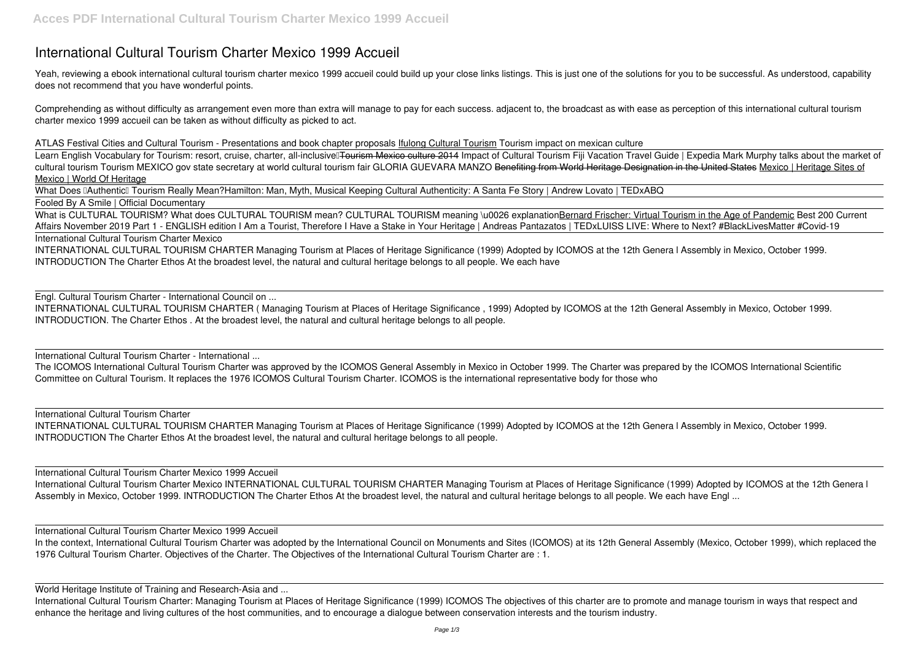## **International Cultural Tourism Charter Mexico 1999 Accueil**

Yeah, reviewing a ebook **international cultural tourism charter mexico 1999 accueil** could build up your close links listings. This is just one of the solutions for you to be successful. As understood, capability does not recommend that you have wonderful points.

Comprehending as without difficulty as arrangement even more than extra will manage to pay for each success. adjacent to, the broadcast as with ease as perception of this international cultural tourism charter mexico 1999 accueil can be taken as without difficulty as picked to act.

Learn English Vocabulary for Tourism: resort, cruise, charter, all-inclusive Tourism Mexico culture 2014 Impact of Cultural Tourism Fiji Vacation Travel Guide | Expedia Mark Murphy talks about the market of cultural tourism Tourism MEXICO gov state secretary at world cultural tourism fair GLORIA GUEVARA MANZO Benefiting from World Heritage Designation in the United States Mexico | Heritage Sites of Mexico | World Of Heritage

What Does **IAuthentic** Tourism Really Mean?Hamilton: Man, Myth, Musical Keeping Cultural Authenticity: A Santa Fe Story | Andrew Lovato | TEDxABQ Fooled By A Smile | Official Documentary

**ATLAS Festival Cities and Cultural Tourism - Presentations and book chapter proposals** Ifulong Cultural Tourism *Tourism impact on mexican culture*

What is CULTURAL TOURISM? What does CULTURAL TOURISM mean? CULTURAL TOURISM meaning \u0026 explanationBernard Frischer: Virtual Tourism in the Age of Pandemic Best 200 Current **Affairs November 2019 Part 1 - ENGLISH edition** *I Am a Tourist, Therefore I Have a Stake in Your Heritage | Andreas Pantazatos | TEDxLUISS LIVE: Where to Next? #BlackLivesMatter #Covid-19* International Cultural Tourism Charter Mexico

International Cultural Tourism Charter Mexico 1999 Accueil International Cultural Tourism Charter Mexico INTERNATIONAL CULTURAL TOURISM CHARTER Managing Tourism at Places of Heritage Significance (1999) Adopted by ICOMOS at the 12th Genera l Assembly in Mexico, October 1999. INTRODUCTION The Charter Ethos At the broadest level, the natural and cultural heritage belongs to all people. We each have Engl ...

INTERNATIONAL CULTURAL TOURISM CHARTER Managing Tourism at Places of Heritage Significance (1999) Adopted by ICOMOS at the 12th Genera l Assembly in Mexico, October 1999. INTRODUCTION The Charter Ethos At the broadest level, the natural and cultural heritage belongs to all people. We each have

Engl. Cultural Tourism Charter - International Council on ...

INTERNATIONAL CULTURAL TOURISM CHARTER ( Managing Tourism at Places of Heritage Significance , 1999) Adopted by ICOMOS at the 12th General Assembly in Mexico, October 1999. INTRODUCTION. The Charter Ethos . At the broadest level, the natural and cultural heritage belongs to all people.

International Cultural Tourism Charter - International ...

The ICOMOS International Cultural Tourism Charter was approved by the ICOMOS General Assembly in Mexico in October 1999. The Charter was prepared by the ICOMOS International Scientific Committee on Cultural Tourism. It replaces the 1976 ICOMOS Cultural Tourism Charter. ICOMOS is the international representative body for those who

International Cultural Tourism Charter

INTERNATIONAL CULTURAL TOURISM CHARTER Managing Tourism at Places of Heritage Significance (1999) Adopted by ICOMOS at the 12th Genera l Assembly in Mexico, October 1999. INTRODUCTION The Charter Ethos At the broadest level, the natural and cultural heritage belongs to all people.

International Cultural Tourism Charter Mexico 1999 Accueil

In the context, International Cultural Tourism Charter was adopted by the International Council on Monuments and Sites (ICOMOS) at its 12th General Assembly (Mexico, October 1999), which replaced the 1976 Cultural Tourism Charter. Objectives of the Charter. The Objectives of the International Cultural Tourism Charter are : 1.

World Heritage Institute of Training and Research-Asia and ...

International Cultural Tourism Charter: Managing Tourism at Places of Heritage Significance (1999) ICOMOS The objectives of this charter are to promote and manage tourism in ways that respect and enhance the heritage and living cultures of the host communities, and to encourage a dialogue between conservation interests and the tourism industry.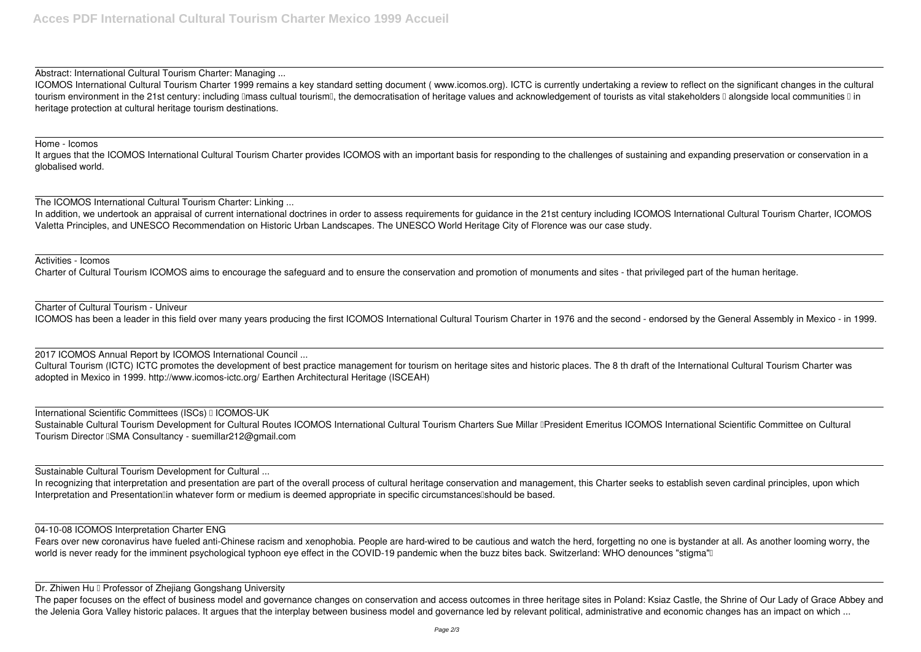Abstract: International Cultural Tourism Charter: Managing ...

ICOMOS International Cultural Tourism Charter 1999 remains a key standard setting document ( www.icomos.org). ICTC is currently undertaking a review to reflect on the significant changes in the cultural tourism environment in the 21st century: including Imass cultual tourism I, the democratisation of heritage values and acknowledgement of tourists as vital stakeholders I alongside local communities II in heritage protection at cultural heritage tourism destinations.

It argues that the ICOMOS International Cultural Tourism Charter provides ICOMOS with an important basis for responding to the challenges of sustaining and expanding preservation or conservation in a globalised world.

## Home - Icomos

The ICOMOS International Cultural Tourism Charter: Linking ...

In addition, we undertook an appraisal of current international doctrines in order to assess requirements for guidance in the 21st century including ICOMOS International Cultural Tourism Charter, ICOMOS Valetta Principles, and UNESCO Recommendation on Historic Urban Landscapes. The UNESCO World Heritage City of Florence was our case study.

In recognizing that interpretation and presentation are part of the overall process of cultural heritage conservation and management, this Charter seeks to establish seven cardinal principles, upon which Interpretation and Presentation<sup>[1]</sup> whatever form or medium is deemed appropriate in specific circumstances should be based.

Activities - Icomos

Charter of Cultural Tourism ICOMOS aims to encourage the safeguard and to ensure the conservation and promotion of monuments and sites - that privileged part of the human heritage.

Fears over new coronavirus have fueled anti-Chinese racism and xenophobia. People are hard-wired to be cautious and watch the herd, forgetting no one is bystander at all. As another looming worry, the world is never ready for the imminent psychological typhoon eye effect in the COVID-19 pandemic when the buzz bites back. Switzerland: WHO denounces "stigma"

Dr. Zhiwen Hu II Professor of Zheijang Gongshang University

Charter of Cultural Tourism - Univeur

ICOMOS has been a leader in this field over many years producing the first ICOMOS International Cultural Tourism Charter in 1976 and the second - endorsed by the General Assembly in Mexico - in 1999.

2017 ICOMOS Annual Report by ICOMOS International Council ...

Cultural Tourism (ICTC) ICTC promotes the development of best practice management for tourism on heritage sites and historic places. The 8 th draft of the International Cultural Tourism Charter was adopted in Mexico in 1999. http://www.icomos-ictc.org/ Earthen Architectural Heritage (ISCEAH)

International Scientific Committees (ISCs) I ICOMOS-UK Sustainable Cultural Tourism Development for Cultural Routes ICOMOS International Cultural Tourism Charters Sue Millar DPresident Emeritus ICOMOS International Scientific Committee on Cultural Tourism Director ISMA Consultancy - suemillar212@gmail.com

Sustainable Cultural Tourism Development for Cultural ...

## 04-10-08 ICOMOS Interpretation Charter ENG

The paper focuses on the effect of business model and governance changes on conservation and access outcomes in three heritage sites in Poland: Ksiaz Castle, the Shrine of Our Lady of Grace Abbey and the Jelenia Gora Valley historic palaces. It argues that the interplay between business model and governance led by relevant political, administrative and economic changes has an impact on which ...